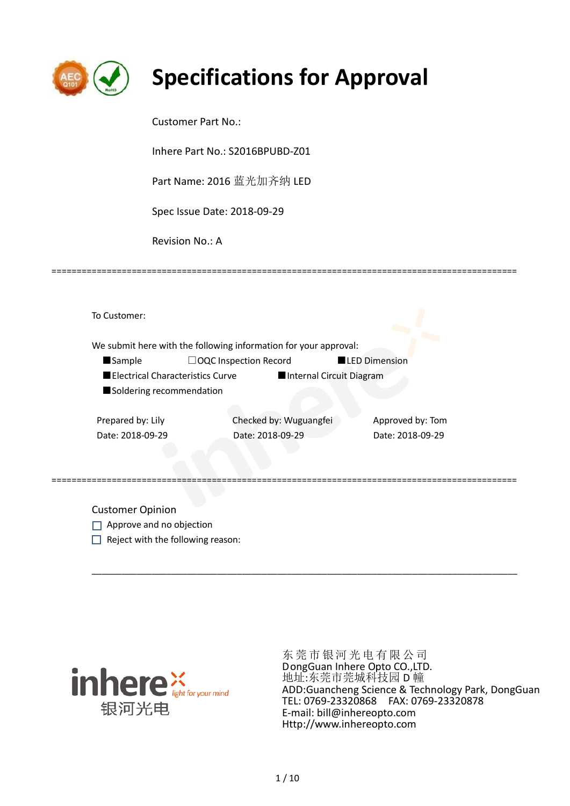

# **Specifications for Approval**

Customer Part No.:

Inhere Part No.: S2016BPUBD-Z01

Part Name: 2016 蓝光加齐纳 LED

Spec Issue Date: 2018-09-29

=============================================================================================

Revision No.: A

To Customer: We submit here with the following information for your approval: ■Sample □OQC Inspection Record ■LED Dimension ■Electrical Characteristics Curve ■Internal Circuit Diagram ■ Soldering recommendation Prepared by: Lily Checked by: Wuguangfei Approved by: Tom Date: 2018-09-29 Date: 2018-09-29 Date: 2018-09-29

=============================================================================================

\_\_\_\_\_\_\_\_\_\_\_\_\_\_\_\_\_\_\_\_\_\_\_\_\_\_\_\_\_\_\_\_\_\_\_\_\_\_\_\_\_\_\_\_\_\_\_\_\_\_\_\_\_\_\_\_\_\_\_\_\_\_\_\_\_\_\_\_\_\_\_\_\_\_\_\_\_\_\_\_\_\_\_\_\_

Customer Opinion

- Approve and no objection
- $\Box$  Reject with the following reason:



东莞市银河光电有限公司 DongGuan Inhere Opto CO.,LTD. 地址:东莞市莞城科技园 D 幢 ADD:Guancheng Science & Technology Park, DongGuan TEL: 0769-23320868 FAX: 0769-23320878 E-mail: bill@inhereopto.com Http://www.inhereopto.com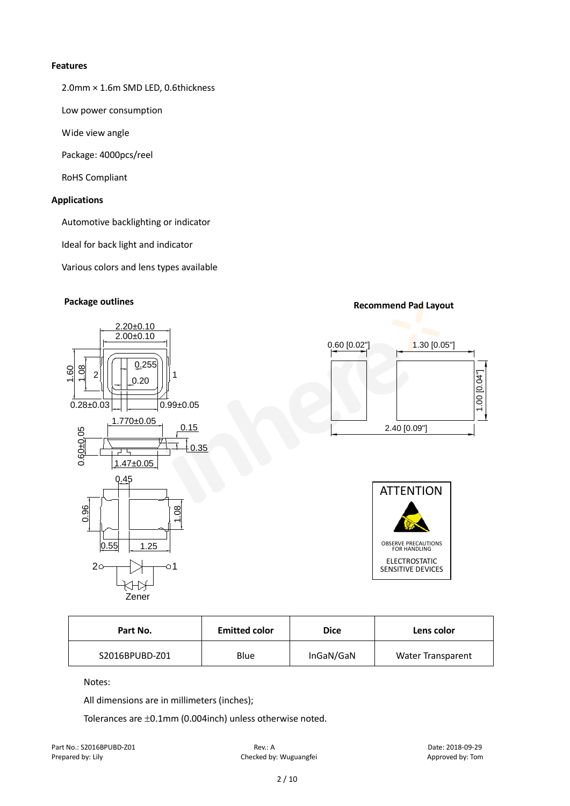#### **Features**

2.0mm × 1.6m SMD LED, 0.6thickness

Low power consumption

Wide view angle

Package: 4000pcs/reel

RoHS Compliant

### **Applications**

Automotive backlighting or indicator

Ideal for back light and indicator

Various colors and lens types available



# **Package outlines Recommend Pad Layout Recommend Pad Layout**





| Part No.       | <b>Emitted color</b> | Dice      | Lens color               |
|----------------|----------------------|-----------|--------------------------|
| S2016BPUBD-Z01 | Blue                 | InGaN/GaN | <b>Water Transparent</b> |

Notes:

All dimensions are in millimeters (inches);

Tolerances are ±0.1mm (0.004inch) unless otherwise noted.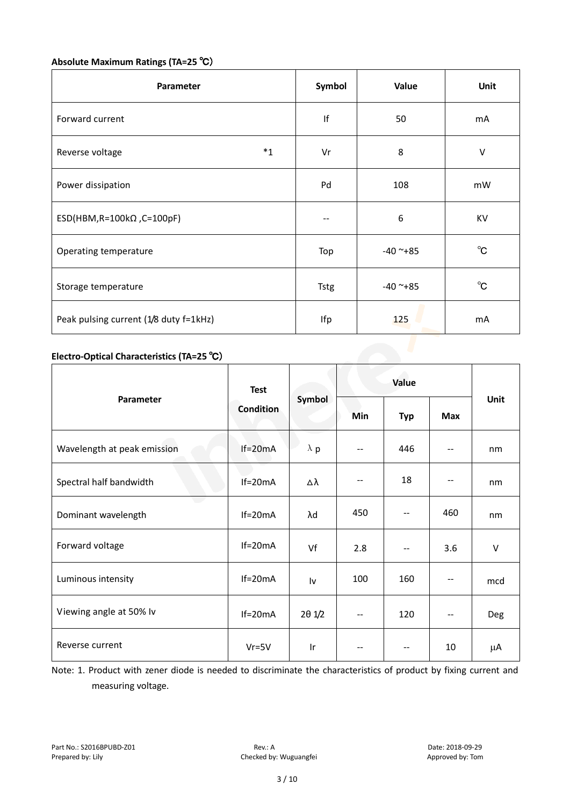# **Absolute Maximum Ratings (TA=25** ℃)

| Parameter                              | Symbol      | Value      | <b>Unit</b>  |
|----------------------------------------|-------------|------------|--------------|
| Forward current                        | If          | 50         | mA           |
| $*_{1}$<br>Reverse voltage             | Vr          | 8          | V            |
| Power dissipation                      | Pd          | 108        | mW           |
| ESD(HBM,R=100k $\Omega$ ,C=100pF)      |             | 6          | KV           |
| Operating temperature                  | Top         | $-40$ ~+85 | $^{\circ}$ C |
| Storage temperature                    | <b>Tstg</b> | $-40$ ~+85 | $^{\circ}$ C |
| Peak pulsing current (1/8 duty f=1kHz) | Ifp         | 125        | mA           |

# **Electro-Optical Characteristics (TA=25** ℃)

|                             | <b>Test</b><br><b>Condition</b> | Symbol          | Value             |            |        |        |
|-----------------------------|---------------------------------|-----------------|-------------------|------------|--------|--------|
| Parameter                   |                                 |                 | Min               | <b>Typ</b> | Max    | Unit   |
| Wavelength at peak emission | $If=20mA$                       | $\lambda$ p     | $\qquad \qquad -$ | 446        | $-\,-$ | nm     |
| Spectral half bandwidth     | $If=20mA$                       | Δλ              | --                | 18         | --     | nm     |
| e e<br>Dominant wavelength  | $If=20mA$                       | λd              | 450               | $-$        | 460    | nm     |
| Forward voltage             | $If=20mA$                       | Vf              | 2.8               | $-$        | 3.6    | $\vee$ |
| Luminous intensity          | $If=20mA$                       | Iv              | 100               | 160        |        | mcd    |
| Viewing angle at 50% lv     | $If=20mA$                       | $2\theta$ $1/2$ | --                | 120        | $-\,-$ | Deg    |
| Reverse current             | $Vr = 5V$                       | Ir              | --                | $-$        | 10     | μA     |

Note: 1. Product with zener diode is needed to discriminate the characteristics of product by fixing current and measuring voltage.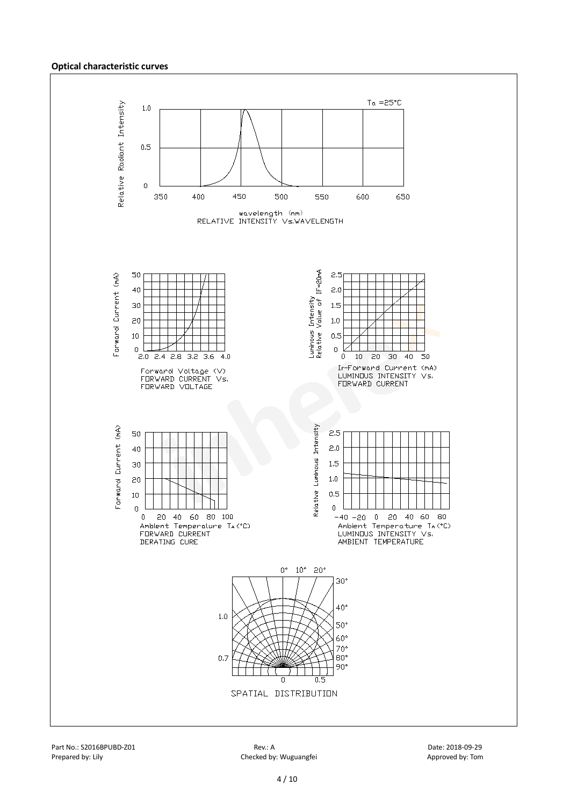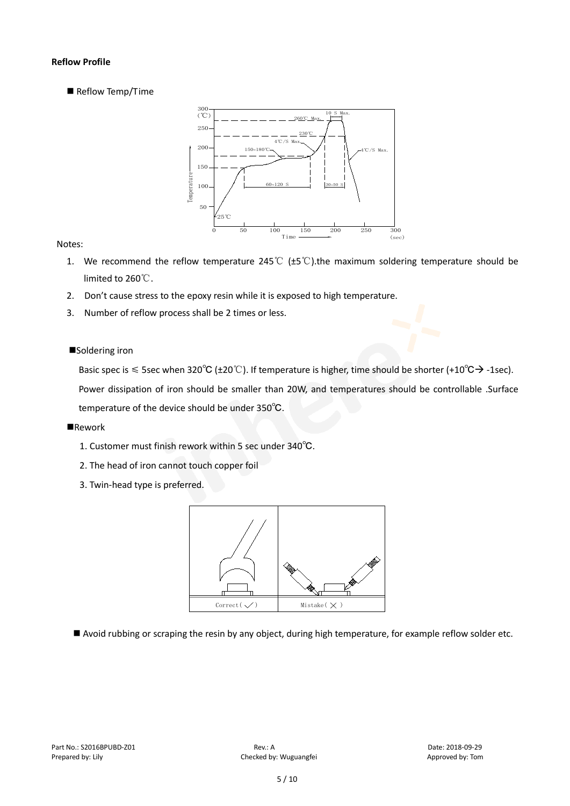#### **Reflow Profile**

Reflow Temp/Time



#### Notes:

- 1. We recommend the reflow temperature 245°C ( $\pm$ 5°C).the maximum soldering temperature should be limited to 260℃.
- 2. Don't cause stress to the epoxy resin while it is exposed to high temperature.
- 3. Number of reflow process shall be 2 times or less.

#### ■Soldering iron

Basic spec is  $\leq$  5sec when 320°C (±20°C). If temperature is higher, time should be shorter (+10°C $\rightarrow$ -1sec).

Power dissipation of iron should be smaller than 20W, and temperatures should be controllable .Surface temperature of the device should be under 350℃.

#### **Rework**

- 1. Customer must finish rework within 5 sec under 340℃.
- 2. The head of iron cannot touch copper foil
- 3. Twin-head type is preferred.



Avoid rubbing or scraping the resin by any object, during high temperature, for example reflow solder etc.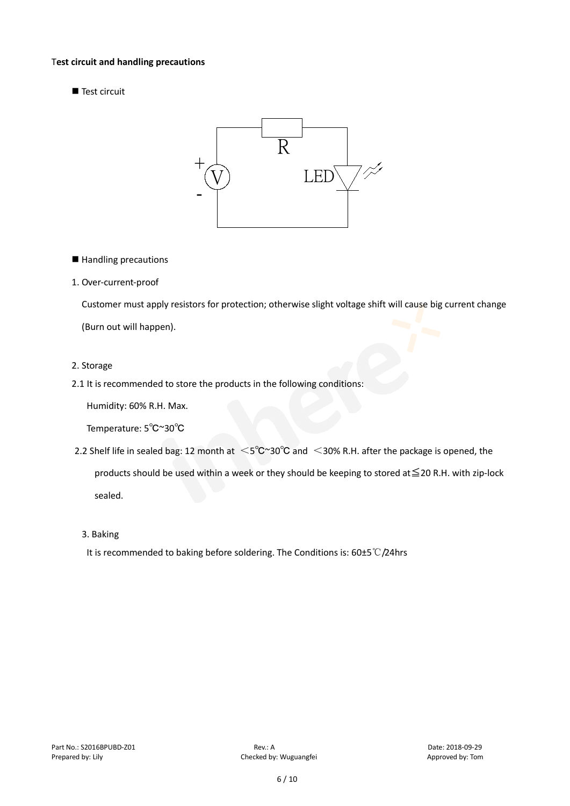#### T**est circuit and handling precautions**

Test circuit



■ Handling precautions

#### 1. Over-current-proof

Customer must apply resistors for protection; otherwise slight voltage shift will cause big current change (Burn out will happen).

#### 2. Storage

#### 2.1 It is recommended to store the products in the following conditions:

Humidity: 60% R.H. Max.

Temperature: 5℃~30℃

- 2.2 Shelf life in sealed bag: 12 month at <5℃~30°C and <30% R.H. after the package is opened, the products should be used within a week or they should be keeping to stored at≦20 R.H. with zip-lock sealed.
	- 3. Baking

It is recommended to baking before soldering. The Conditions is: 60±5℃/24hrs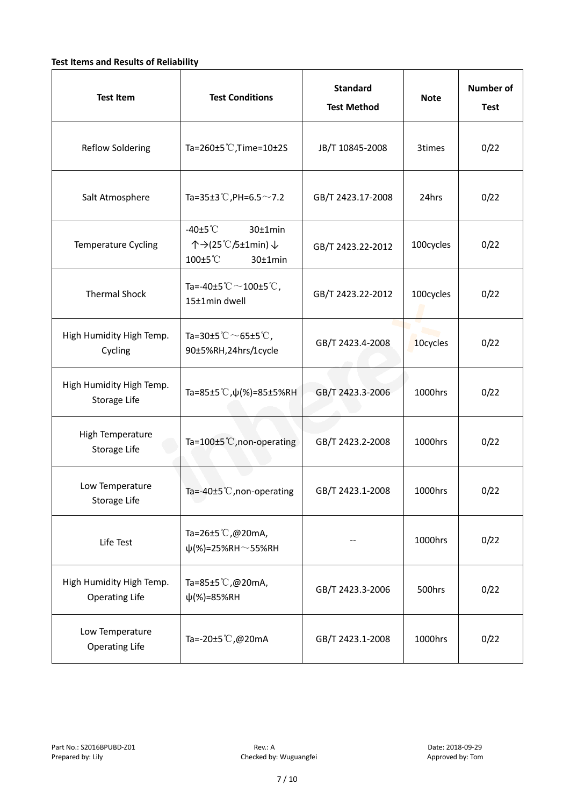### **Test Items and Results of Reliability**

| <b>Test Item</b>                                  | <b>Standard</b><br><b>Test Conditions</b><br><b>Test Method</b>                            |                                | <b>Note</b> | <b>Number of</b><br><b>Test</b> |
|---------------------------------------------------|--------------------------------------------------------------------------------------------|--------------------------------|-------------|---------------------------------|
| <b>Reflow Soldering</b>                           | Ta=260±5 °C, Time=10±2S                                                                    | JB/T 10845-2008                | 3times      | 0/22                            |
| Salt Atmosphere                                   | Ta=35±3°C, PH=6.5 $\sim$ 7.2<br>GB/T 2423.17-2008                                          |                                | 24hrs       | 0/22                            |
| Temperature Cycling                               | -40 $±5^{\circ}$ C<br>$30±1$ min<br>个→(25℃/5±1min) ↓<br>100±5°C<br>$30±1$ min              | 100cycles<br>GB/T 2423.22-2012 |             | 0/22                            |
| <b>Thermal Shock</b>                              | Ta=-40±5 $°C$ ~100±5 $°C$ ,<br>GB/T 2423.22-2012<br>15±1min dwell                          |                                | 100cycles   | 0/22                            |
| High Humidity High Temp.<br>Cycling               | Ta=30±5 $^{\circ}$ C $\sim$ 65±5 $^{\circ}$ C,<br>GB/T 2423.4-2008<br>90±5%RH,24hrs/1cycle |                                | 10cycles    | 0/22                            |
| High Humidity High Temp.<br>Storage Life          | Ta=85±5 °C, $\psi$ (%)=85±5%RH                                                             | GB/T 2423.3-2006               | 1000hrs     | 0/22                            |
| High Temperature<br>Storage Life                  | Ta=100±5 °C, non-operating                                                                 | GB/T 2423.2-2008               | 1000hrs     | 0/22                            |
| Low Temperature<br>Storage Life                   | Ta=-40±5℃, non-operating                                                                   | GB/T 2423.1-2008               | 1000hrs     | 0/22                            |
| Life Test                                         | Ta=26±5 °C,@20mA,<br>$\psi$ (%)=25%RH~55%RH                                                |                                | 1000hrs     | 0/22                            |
| High Humidity High Temp.<br><b>Operating Life</b> | Ta=85 $\pm$ 5 °C, @20mA,<br>$\psi$ (%)=85%RH                                               | GB/T 2423.3-2006               | 500hrs      | 0/22                            |
| Low Temperature<br><b>Operating Life</b>          | Ta=-20±5℃,@20mA                                                                            | GB/T 2423.1-2008               | 1000hrs     | 0/22                            |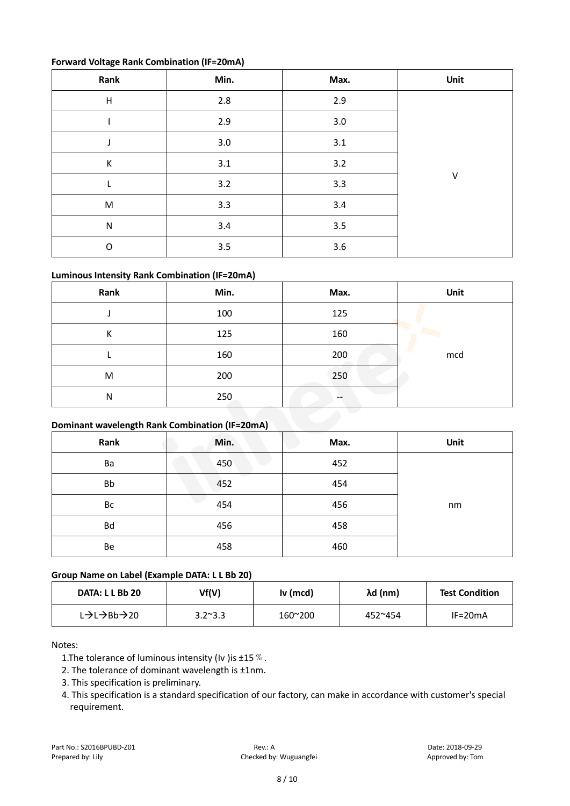#### **Forward Voltage Rank Combination (IF=20mA)**

| Rank                      | Min. | Max. | Unit |
|---------------------------|------|------|------|
| $\boldsymbol{\mathsf{H}}$ | 2.8  | 2.9  |      |
|                           | 2.9  | 3.0  |      |
|                           | 3.0  | 3.1  |      |
| К                         | 3.1  | 3.2  |      |
| L                         | 3.2  | 3.3  | V    |
| M                         | 3.3  | 3.4  |      |
| ${\sf N}$                 | 3.4  | 3.5  |      |
| $\mathsf O$               | 3.5  | 3.6  |      |

## **Luminous Intensity Rank Combination (IF=20mA)**

| Rank                                            | Min. | Max. | Unit |
|-------------------------------------------------|------|------|------|
|                                                 | 100  | 125  |      |
| К                                               | 125  | 160  |      |
|                                                 | 160  | 200  | mcd  |
| M                                               | 200  | 250  |      |
| N                                               | 250  |      |      |
| Dominant wavelength Bank Cambination (IF-20m A) |      |      |      |

# **Dominant wavelength Rank Combination (IF=20mA)**

| Rank | Min. | Max. | Unit |
|------|------|------|------|
| Ba   | 450  | 452  |      |
| Bb   | 452  | 454  |      |
| Bс   | 454  | 456  | nm   |
| Bd   | 456  | 458  |      |
| Be   | 458  | 460  |      |

#### **Group Name on Label (Example DATA: L L Bb 20)**

| DATA: L L Bb 20 | Vf(V)           | Iv (mcd) | λd (nm)          | <b>Test Condition</b> |
|-----------------|-----------------|----------|------------------|-----------------------|
| L→L→Bb→20       | $3.2^{\sim}3.3$ | 160~200  | $452^{\circ}454$ | $IF=20mA$             |

Notes:

1. The tolerance of luminous intensity (Iv ) is  $\pm 15\%$ .

2. The tolerance of dominant wavelength is ±1nm.

- 3. This specification is preliminary.
- 4. This specification is a standard specification of our factory, can make in accordance with customer's special requirement.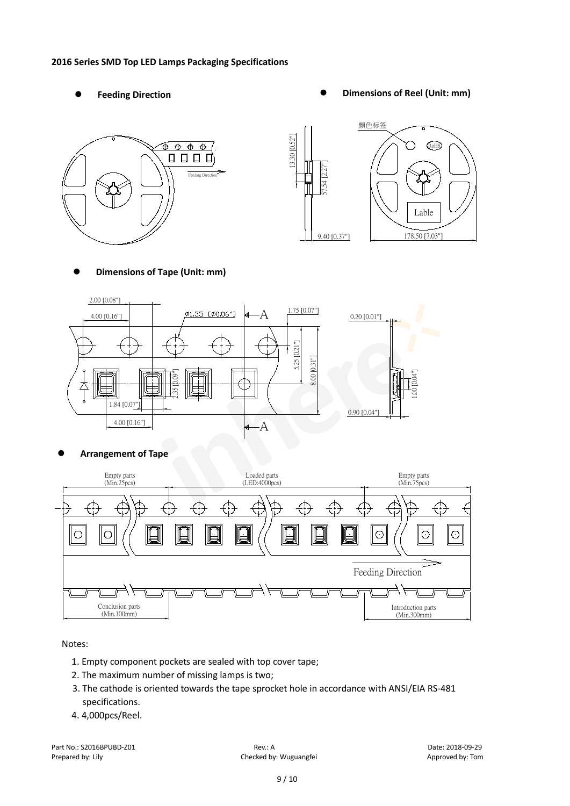#### **2016 Series SMD Top LED Lamps Packaging Specifications**

- 
- Feeding Direction **Constanting Construction Constanting Operations Construction Constanting Construction Constanting Construction**





**Dimensions of Tape (Unit: mm)**



**Arrangement of Tape**



Notes:

- 1. Empty component pockets are sealed with top cover tape;
- 2. The maximum number of missing lamps is two;
- 3. The cathode is oriented towards the tape sprocket hole in accordance with ANSI/EIA RS-481 specifications.
- 4. 4,000pcs/Reel.

Part No.: S2016BPUBD-Z01 Rev.: A Date: 2018-09-29 Prepared by: Lily Checked by: Wuguangfei Approved by: Tom Checked by: Wuguangfei Approved by: Tom Approved by: Tom